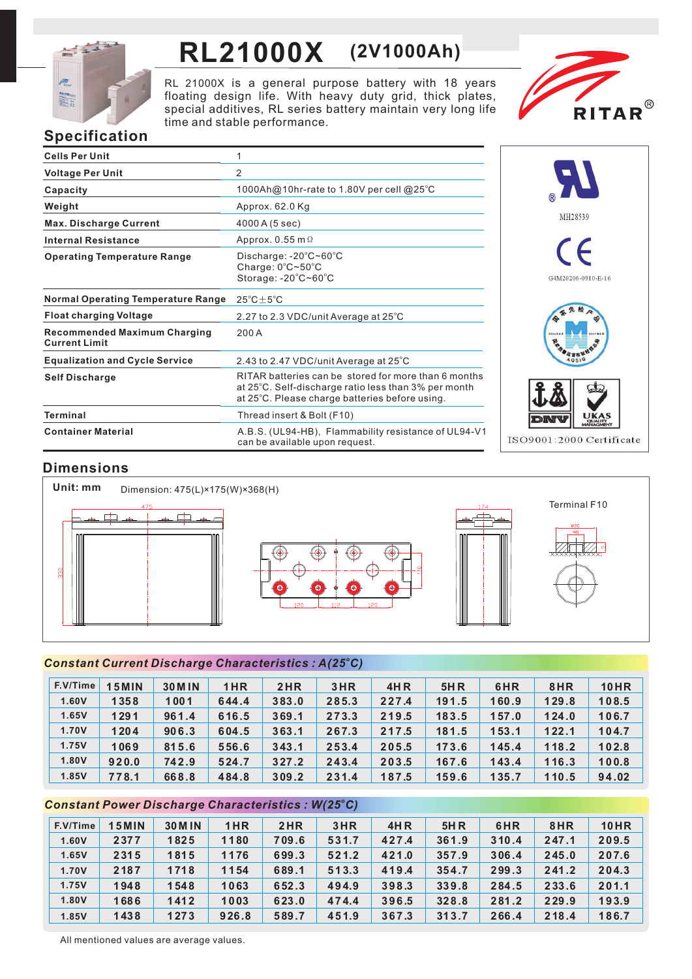

# **RL21000X (2V1000Ah)**

RL 21000X is a general purpose battery with 18 years floating design life. With heavy duty grid, thick plates, special additives, RL series battery maintain very long life time and stable performance.



# **Specification**

| <b>Cells Per Unit</b>                                       | 1                                                                                                                                                              |
|-------------------------------------------------------------|----------------------------------------------------------------------------------------------------------------------------------------------------------------|
| <b>Voltage Per Unit</b>                                     | 2                                                                                                                                                              |
| Capacity                                                    | 1000Ah@10hr-rate to 1.80V per cell @25°C                                                                                                                       |
| Weight                                                      | Approx. 62.0 Kg                                                                                                                                                |
| <b>Max. Discharge Current</b>                               | 4000 A (5 sec)                                                                                                                                                 |
| <b>Internal Resistance</b>                                  | Approx. $0.55$ m $\Omega$                                                                                                                                      |
| <b>Operating Temperature Range</b>                          | Discharge: $-20^{\circ}$ C~60 $^{\circ}$ C<br>Charge: 0°C~50°C<br>Storage: -20°C~60°C                                                                          |
| <b>Normal Operating Temperature Range</b>                   | $25^{\circ}$ C $\pm$ 5 $^{\circ}$ C                                                                                                                            |
| <b>Float charging Voltage</b>                               | 2.27 to 2.3 VDC/unit Average at 25°C                                                                                                                           |
| <b>Recommended Maximum Charging</b><br><b>Current Limit</b> | 200 A                                                                                                                                                          |
| <b>Equalization and Cycle Service</b>                       | 2.43 to 2.47 VDC/unit Average at 25°C                                                                                                                          |
| <b>Self Discharge</b>                                       | RITAR batteries can be stored for more than 6 months<br>at 25°C. Self-discharge ratio less than 3% per month<br>at 25°C. Please charge batteries before using. |
| Terminal                                                    | Thread insert & Bolt (F10)                                                                                                                                     |
| <b>Container Material</b>                                   | A.B.S. (UL94-HB), Flammability resistance of UL94-V1<br>can be available upon request.                                                                         |



# **Dimensions**



## *<sup>o</sup> Constant Current Discharge Characteristics : A(25 C)*

| F.V/Time | <b>15MIN</b> | <b>30 M IN</b> | 1HR   | 2HR   | 3HR   | <b>4HR</b> | <b>5HR</b> | 6HR   | 8HR   | <b>10HR</b> |
|----------|--------------|----------------|-------|-------|-------|------------|------------|-------|-------|-------------|
| 1.60V    | 1358         | 1001           | 644.4 | 383.0 | 285.3 | 227.4      | 191.5      | 160.9 | 129.8 | 108.5       |
| 1.65V    | 1291         | 961.4          | 616.5 | 369.1 | 273.3 | 219.5      | 183.5      | 157.0 | 124.0 | 106.7       |
| 1.70V    | 1204         | 906.3          | 604.5 | 363.1 | 267.3 | 217.5      | 181.5      | 153.1 | 122.1 | 104.7       |
| 1.75V    | 1069         | 815.6          | 556.6 | 343.1 | 253.4 | 205.5      | 173.6      | 145.4 | 118.2 | 102.8       |
| 1.80V    | 920.0        | 742.9          | 524.7 | 327.2 | 243.4 | 203.5      | 167.6      | 143.4 | 116.3 | 100.8       |
| 1.85V    | 778.1        | 668.8          | 484.8 | 309.2 | 231.4 | 187.5      | 159.6      | 135.7 | 110.5 | 94.02       |

## *<sup>o</sup> Constant Power Discharge Characteristics : W(25 C)*

| F.V/Time | <b>15MIN</b> | <b>30 M IN</b> | 1HR   | 2HR   | 3HR   | 4HR   | 5H R  | 6HR   | 8HR   | <b>10HR</b> |
|----------|--------------|----------------|-------|-------|-------|-------|-------|-------|-------|-------------|
| 1.60V    | 2377         | 1825           | 1180  | 709.6 | 531.7 | 427.4 | 361.9 | 310.4 | 247.1 | 209.5       |
| 1.65V    | 2315         | 1815           | 1176  | 699.3 | 521.2 | 421.0 | 357.9 | 306.4 | 245.0 | 207.6       |
| 1.70V    | 2187         | 1718           | 1154  | 689.1 | 513.3 | 419.4 | 354.7 | 299.3 | 241.2 | 204.3       |
| 1.75V    | 1948         | 1548           | 1063  | 652.3 | 494.9 | 398.3 | 339.8 | 284.5 | 233.6 | 201.1       |
| 1.80V    | 1686         | 1412           | 1003  | 623.0 | 474.4 | 396.5 | 328.8 | 281.2 | 229.9 | 193.9       |
| 1.85V    | 1438         | 1273           | 926.8 | 589.7 | 451.9 | 367.3 | 313.7 | 266.4 | 218.4 | 186.7       |

All mentioned values are average values.